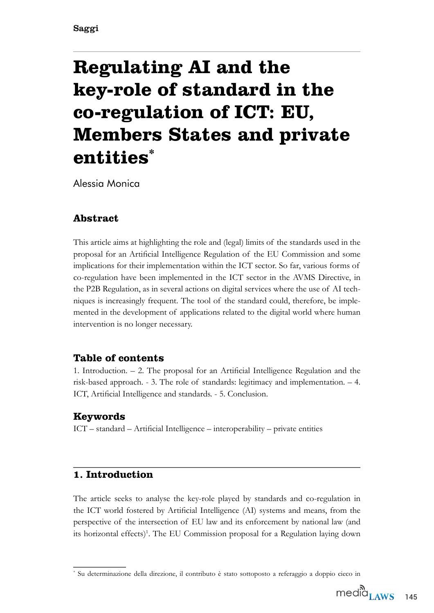# **Regulating AI and the key-role of standard in the co-regulation of ICT: EU, Members States and private entities\***

Alessia Monica

# **Abstract**

This article aims at highlighting the role and (legal) limits of the standards used in the proposal for an Artifcial Intelligence Regulation of the EU Commission and some implications for their implementation within the IC7 sector. So far, various forms of co-regulation have been implemented in the ICT sector in the AVMS Directive, in the P2B Regulation, as in several actions on digital services where the use of AI techniques is increasingly frequent. 7he tool of the standard could, therefore, be implemented in the development of applications related to the digital world where human intervention is no longer necessary.

# **Table of contents**

1. Introduction.  $-$  2. The proposal for an Artificial Intelligence Regulation and the risk-based approach.  $-3$ . The role of standards: legitimacy and implementation.  $-4$ . ICT, Artificial Intelligence and standards. - 5. Conclusion.

# **Keywords**

 $ICT - standard - Artificial Intelligence - interoperability - private entities$ 

# **1. Introduction**

7he article seeks to analyse the key-role played by standards and co-regulation in the IC7 world fostered by Artifcial Intelligence (AI) systems and means, from the perspective of the intersection of EU law and its enforcement by national law (and its horizontal effects)<sup>1</sup>. The EU Commission proposal for a Regulation laying down

Su determinazione della direzione, il contributo è stato sottoposto a referaggio a doppio cieco in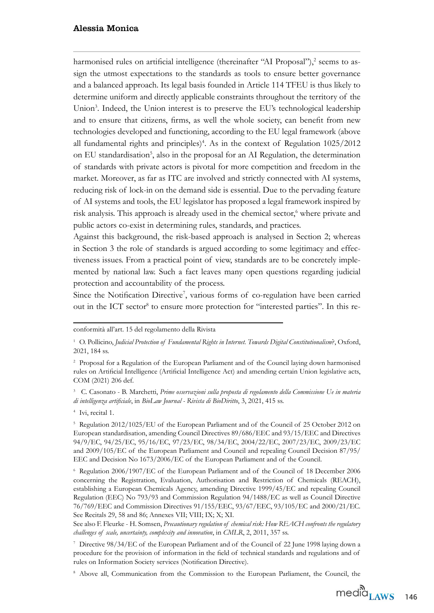harmonised rules on artificial intelligence (thereinafter "AI Proposal"),<sup>2</sup> seems to assign the utmost expectations to the standards as tools to ensure better governance and a balanced approach. Its legal basis founded in Article 114 TFEU is thus likely to determine uniform and directly applicable constraints throughout the territory of the Union<sup>3</sup>. Indeed, the Union interest is to preserve the EU's technological leadership and to ensure that citizens, frms, as well the whole society, can beneft from new technologies developed and functioning, according to the EU legal framework (above all fundamental rights and principles)<sup>4</sup>. As in the context of Regulation  $1025/2012$ on EU standardisation<sup>5</sup>, also in the proposal for an AI Regulation, the determination of standards with private actors is pivotal for more competition and freedom in the market. Moreover, as far as I7C are involved and strictly connected with AI systems, reducing risk of lock-in on the demand side is essential. Due to the pervading feature of AI systems and tools, the EU legislator has proposed a legal framework inspired by risk analysis. This approach is already used in the chemical sector,<sup>6</sup> where private and public actors co-exist in determining rules, standards, and practices.

Against this background, the risk-based approach is analysed in Section 2; whereas in Section 3 the role of standards is argued according to some legitimacy and effectiveness issues. From a practical point of view, standards are to be concretely implemented by national law. Such a fact leaves many open questions regarding judicial protection and accountability of the process.

Since the Notification Directive<sup>7</sup>, various forms of co-regulation have been carried out in the ICT sector<sup>8</sup> to ensure more protection for "interested parties". In this re-

<sup>3</sup> C. Casonato - B. Marchetti, *Prime osservazioni sulla proposta di regolamento della Commissione Ue in materia di intelligenza artificiale*, in *BioLaw Journal - Rivista di BioDiritto*, 3, 2021, 415 ss.

<sup>4</sup> Ivi, recital 1.

<sup>5</sup> Regulation 2012/1025/EU of the European Parliament and of the Council of 25 October 2012 on European standardisation, amending Council Directives 89/686/EEC and 93/15/EEC and Directives 94/9/EC, 94/25/EC, 95/16/EC, 97/23/EC, 98/34/EC, 2004/22/EC, 2007/23/EC, 2009/23/EC and  $2009/105/EC$  of the European Parliament and Council and repealing Council Decision 87/95/ EEC and Decision No 1673/2006/EC of the European Parliament and of the Council.

 $6$  Regulation 2006/1907/EC of the European Parliament and of the Council of 18 December 2006 concerning the Registration, Evaluation, Authorisation and Restriction of Chemicals (REAC+), establishing a European Chemicals Agency, amending Directive 1999/45/EC and repealing Council Regulation (EEC) No 793/93 and Commission Regulation 94/1488/EC as well as Council Directive 76/769/EEC and Commission Directives 91/155/EEC, 93/67/EEC, 93/105/EC and 2000/21/EC. See Recitals 29, 58 and 86; Annexes VII; VIII; IX; X; XI.

See also F. Fleurke - H. Somsen, *Precautionary regulation of chemical risk: How REACH confronts the regulatory challenges of scale, uncertainty, complexity and innovation, in CMLR, 2, 2011, 357 ss.* 

<sup>7</sup> Directive 98/34/EC of the European Parliament and of the Council of 22 June 1998 laying down a procedure for the provision of information in the feld of technical standards and regulations and of rules on Information Society services (Notification Directive).

<sup>8</sup> Above all, Communication from the Commission to the European Parliament, the Council, the

conformità all'art. 15 del regolamento della Rivista

<sup>&</sup>lt;sup>1</sup> O. Pollicino, *Judicial Protection of Fundamental Rights in Internet. Towards Digital Constitutionalism*<sup>2</sup>, Oxford, 2021, 184 ss.

<sup>&</sup>lt;sup>2</sup> Proposal for a Regulation of the European Parliament and of the Council laying down harmonised rules on Artifcial Intelligence (Artifcial Intelligence Act) and amending certain Union legislative acts, COM (2021) 206 def.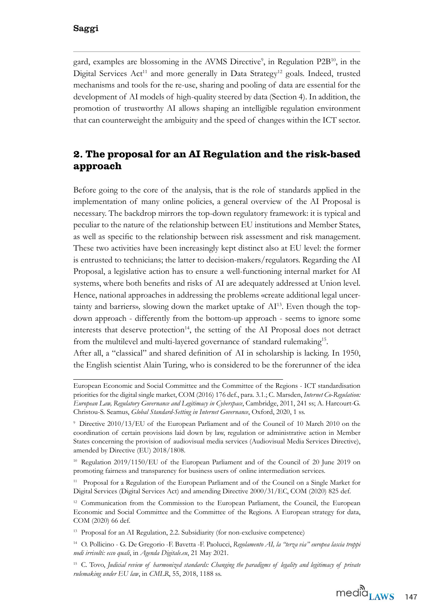gard, examples are blossoming in the AVMS Directive<sup>9</sup>, in Regulation P2B<sup>10</sup>, in the Digital Services Act<sup>11</sup> and more generally in Data Strategy<sup>12</sup> goals. Indeed, trusted mechanisms and tools for the re-use, sharing and pooling of data are essential for the development of AI models of high-quality steered by data (Section 4). In addition, the promotion of trustworthy AI allows shaping an intelligible regulation environment that can counterweight the ambiguity and the speed of changes within the IC7 sector.

# **2. The proposal for an AI Regulation and the risk-based approach**

Before going to the core of the analysis, that is the role of standards applied in the implementation of many online policies, a general overview of the AI Proposal is necessary. 7he backdrop mirrors the top-down regulatory framework it is typical and peculiar to the nature of the relationship between EU institutions and Member States, as well as specifc to the relationship between risk assessment and risk management. These two activities have been increasingly kept distinct also at EU level: the former is entrusted to technicians; the latter to decision-makers/regulators. Regarding the AI Proposal, a legislative action has to ensure a well-functioning internal market for AI systems, where both benefts and risks of AI are adequately addressed at Union level. Hence, national approaches in addressing the problems «create additional legal uncertainty and barriers», slowing down the market uptake of  $Al<sup>13</sup>$ . Even though the topdown approach - differently from the bottom-up approach - seems to ignore some interests that deserve protection<sup>14</sup>, the setting of the AI Proposal does not detract from the multilevel and multi-layered governance of standard rulemaking<sup>15</sup>.

After all, a "classical" and shared definition of AI in scholarship is lacking. In 1950, the English scientist Alain 7uring, who is considered to be the forerunner of the idea

European Economic and Social Committee and the Committee of the Regions - IC7 standardisation priorities for the digital single market, COM (2016) 176 def., para. 3.1.; C. Marsden, *Internet Co-Regulation*: *European Law, Regulatory Governance and Legitimacy in Cyberspace*, Cambridge, 2011, 241 ss; A. Harcourt-G. Christou-S. Seamus, *Global Standard-Setting in Internet Governance*, Oxford, 2020, 1 ss.

 $9$  Directive 2010/13/EU of the European Parliament and of the Council of 10 March 2010 on the coordination of certain provisions laid down by law, regulation or administrative action in Member States concerning the provision of audiovisual media services (Audiovisual Media Services Directive), amended by Directive (EU) 2018/1808.

 $10$  Regulation 2019/1150/EU of the European Parliament and of the Council of 20 June 2019 on promoting fairness and transparency for business users of online intermediation services.

<sup>&</sup>lt;sup>11</sup> Proposal for a Regulation of the European Parliament and of the Council on a Single Market for Digital Services (Digital Services Act) and amending Directive 2000/31/EC, COM (2020) 825 def.

<sup>&</sup>lt;sup>12</sup> Communication from the Commission to the European Parliament, the Council, the European Economic and Social Committee and the Committee of the Regions. A European strategy for data, COM (2020) 66 def.

<sup>&</sup>lt;sup>13</sup> Proposal for an AI Regulation, 2.2. Subsidiarity (for non-exclusive competence)

<sup>&</sup>lt;sup>14</sup> O. Pollicino - G. De Gregorio -F. Bavetta -F. Paolucci, Regolamento AI, la "terza via" europea lascia troppi *nodi irrisolti: ecco quali*, in *Agenda Digitale.eu*, 21 May 221.

<sup>&</sup>lt;sup>15</sup> C. Tovo, *Judicial review of harmonized standards: Changing the paradigms of legality and legitimacy of private rulemaking under EU law*, in *CMLR*, 55, 2018, 1188 ss.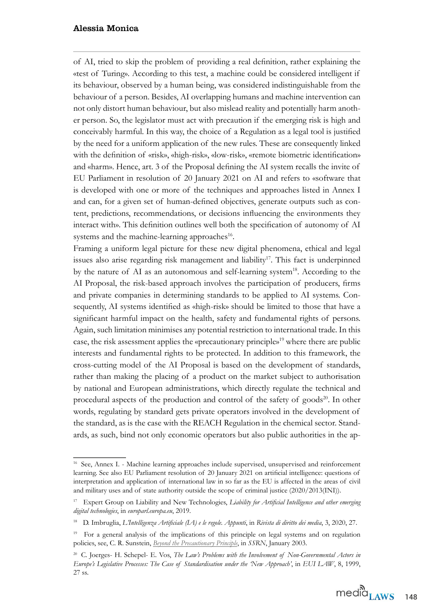of AI, tried to skip the problem of providing a real definition, rather explaining the «test of Turing». According to this test, a machine could be considered intelligent if its behaviour, observed by a human being, was considered indistinguishable from the behaviour of a person. Besides, AI overlapping humans and machine intervention can not only distort human behaviour, but also mislead reality and potentially harm another person. So, the legislator must act with precaution if the emerging risk is high and conceivably harmful. In this way, the choice of a Regulation as a legal tool is justified by the need for a uniform application of the new rules. 7hese are consequently linked with the definition of «risk», «high-risk», «low-risk», «remote biometric identification» and «harm». Hence, art. 3 of the Proposal defining the AI system recalls the invite of EU Parliament in resolution of 20 January 2021 on AI and refers to «software that is developed with one or more of the techniques and approaches listed in Annex I and can, for a given set of human-defined objectives, generate outputs such as content, predictions, recommendations, or decisions infuencing the environments they interact with». This definition outlines well both the specification of autonomy of AI systems and the machine-learning approaches<sup>16</sup>.

Framing a uniform legal picture for these new digital phenomena, ethical and legal issues also arise regarding risk management and liability<sup>17</sup>. This fact is underpinned by the nature of AI as an autonomous and self-learning system<sup>18</sup>. According to the AI Proposal, the risk-based approach involves the participation of producers, frms and private companies in determining standards to be applied to AI systems. Consequently, AI systems identified as «high-risk» should be limited to those that have a signifcant harmful impact on the health, safety and fundamental rights of persons. Again, such limitation minimises any potential restriction to international trade. In this case, the risk assessment applies the «precautionary principle»<sup>19</sup> where there are public interests and fundamental rights to be protected. In addition to this framework, the cross-cutting model of the AI Proposal is based on the development of standards, rather than making the placing of a product on the market subject to authorisation by national and European administrations, which directly regulate the technical and procedural aspects of the production and control of the safety of goods $^{20}$ . In other words, regulating by standard gets private operators involved in the development of the standard, as is the case with the REACH Regulation in the chemical sector. Standards, as such, bind not only economic operators but also public authorities in the ap-

<sup>&</sup>lt;sup>16</sup> See, Annex I. - Machine learning approaches include supervised, unsupervised and reinforcement learning. See also EU Parliament resolution of 20 January 2021 on artificial intelligence: questions of interpretation and application of international law in so far as the EU is affected in the areas of civil and military uses and of state authority outside the scope of criminal justice  $(2020/2013(INI)).$ 

<sup>&</sup>lt;sup>17</sup> Expert Group on Liability and New Technologies, *Liability for Artificial Intelligence and other emerging digital technologies*, in *europarl.europa.eu*, 219.

<sup>&</sup>lt;sup>18</sup> D. Imbruglia, *L'Intelligenza Artificiale (IA) e le regole. Appunti*, in *Rivista di diritto dei media*, 3, 2020, 27.

 $19$  For a general analysis of the implications of this principle on legal systems and on regulation policies, see, C. R. Sunstein, *[Beyond the Precautionary Principle](http://dx.doi.org/10.2139/ssrn.307098)*, in *SSRN*, January 2003.

<sup>&</sup>lt;sup>20</sup> C. Joerges- H. Schepel- E. Vos, *The Law's Problems with the Involvement of Non-Governmental Actors in Europe's Legislative Processes: The Case of Standardisation under the 'New Approach'*, in *EUI LAW*, 8, 1999, 27 ss.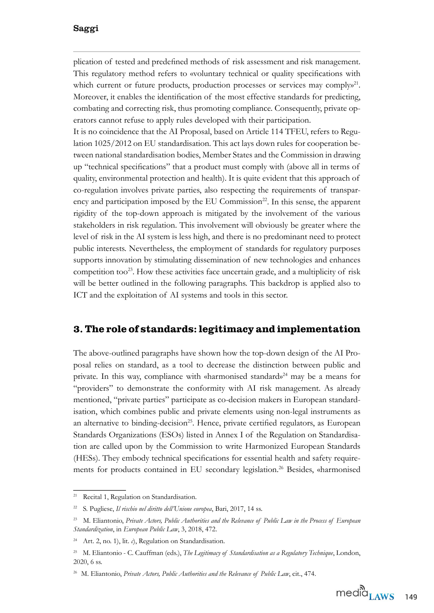plication of tested and predefned methods of risk assessment and risk management. This regulatory method refers to «voluntary technical or quality specifications with which current or future products, production processes or services may comply  $n^{21}$ . Moreover, it enables the identifcation of the most effective standards for predicting, combating and correcting risk, thus promoting compliance. Consequently, private operators cannot refuse to apply rules developed with their participation.

It is no coincidence that the AI Proposal, based on Article 114 TFEU, refers to Regulation 1025/2012 on EU standardisation. This act lays down rules for cooperation between national standardisation bodies, Member States and the Commission in drawing up "technical specifications" that a product must comply with (above all in terms of quality, environmental protection and health). It is quite evident that this approach of co-regulation involves private parties, also respecting the requirements of transparency and participation imposed by the EU Commission $^{22}$ . In this sense, the apparent rigidity of the top-down approach is mitigated by the involvement of the various stakeholders in risk regulation. 7his involvement will obviously be greater where the level of risk in the AI system is less high, and there is no predominant need to protect public interests. Nevertheless, the employment of standards for regulatory purposes supports innovation by stimulating dissemination of new technologies and enhances competition too<sup>23</sup>. How these activities face uncertain grade, and a multiplicity of risk will be better outlined in the following paragraphs. This backdrop is applied also to ICT and the exploitation of AI systems and tools in this sector.

## **3. The role of standards: legitimacy and implementation**

7he above-outlined paragraphs have shown how the top-down design of the AI Proposal relies on standard, as a tool to decrease the distinction between public and private. In this way, compliance with «harmonised standard»<sup>24</sup> may be a means for "providers" to demonstrate the conformity with AI risk management. As already mentioned, "private parties" participate as co-decision makers in European standardisation, which combines public and private elements using non-legal instruments as an alternative to binding-decision<sup>25</sup>. Hence, private certified regulators, as European Standards Organizations (ESOs) listed in Annex I of the Regulation on Standardisation are called upon by the Commission to write Harmonized European Standards (HESs). They embody technical specifications for essential health and safety requirements for products contained in EU secondary legislation.<sup>26</sup> Besides, «harmonised

<sup>21</sup> Recital 1, Regulation on Standardisation.

<sup>&</sup>lt;sup>22</sup> S. Pugliese, *Il rischio nel diritto dell'Unione europea*, Bari, 2017, 14 ss.

<sup>23</sup> M. Eliantonio, *Private Actors, Public Authorities and the Relevance of Public Law in the Process of European Standardization*, in *European Public Law*, 3, 2018, 472.

<sup>&</sup>lt;sup>24</sup> Art. 2, no. 1), lit. *c*), Regulation on Standardisation.

<sup>&</sup>lt;sup>25</sup> M. Eliantonio - C. Cauffman (eds.), *The Legitimacy of Standardisation as a Regulatory Technique*, London, 2020, 6 ss.

<sup>&</sup>lt;sup>26</sup> M. Eliantonio, *Private Actors, Public Authorities and the Relevance of Public Law*, cit., 474.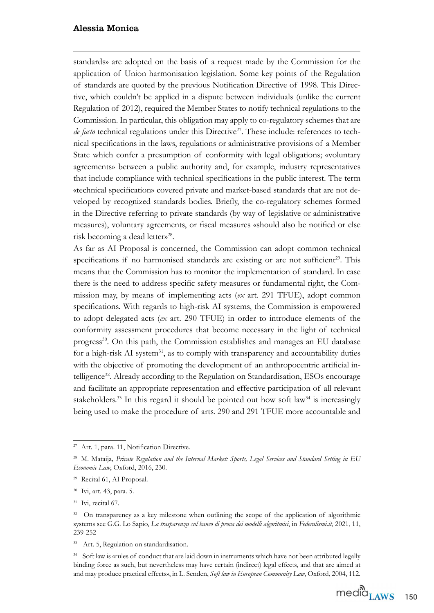standards» are adopted on the basis of a request made by the Commission for the application of Union harmonisation legislation. Some key points of the Regulation of standards are quoted by the previous Notification Directive of 1998. This Directive, which couldn't be applied in a dispute between individuals (unlike the current Regulation of 212), required the Member States to notify technical regulations to the Commission. In particular, this obligation may apply to co-regulatory schemes that are *de facto* technical regulations under this Directive<sup>27</sup>. These include: references to technical specifcations in the laws, regulations or administrative provisions of a Member State which confer a presumption of conformity with legal obligations; «voluntary agreements» between a public authority and, for example, industry representatives that include compliance with technical specifcations in the public interest. 7he term «technical specification» covered private and market-based standards that are not developed by recognized standards bodies. Briefy, the co-regulatory schemes formed in the Directive referring to private standards (by way of legislative or administrative measures), voluntary agreements, or fiscal measures «should also be notified or else risk becoming a dead letter»<sup>28</sup>.

As far as AI Proposal is concerned, the Commission can adopt common technical specifications if no harmonised standards are existing or are not sufficient<sup>29</sup>. This means that the Commission has to monitor the implementation of standard. In case there is the need to address specifc safety measures or fundamental right, the Commission may, by means of implementing acts (*ex* art. 291 TFUE), adopt common specifications. With regards to high-risk AI systems, the Commission is empowered to adopt delegated acts (*ex* art. 290 TFUE) in order to introduce elements of the conformity assessment procedures that become necessary in the light of technical progress<sup>30</sup>. On this path, the Commission establishes and manages an EU database for a high-risk AI system<sup>31</sup>, as to comply with transparency and accountability duties with the objective of promoting the development of an anthropocentric artificial intelligence<sup>32</sup>. Already according to the Regulation on Standardisation, ESOs encourage and facilitate an appropriate representation and effective participation of all relevant stakeholders.<sup>33</sup> In this regard it should be pointed out how soft law<sup>34</sup> is increasingly being used to make the procedure of arts. 290 and 291 TFUE more accountable and

<sup>34</sup> Soft law is «rules of conduct that are laid down in instruments which have not been attributed legally binding force as such, but nevertheless may have certain (indirect) legal effects, and that are aimed at and may produce practical effects», in L. Senden, *Soft law in European Community Law*, Oxford, 2004, 112.

<sup>&</sup>lt;sup>27</sup> Art. 1, para. 11, Notification Directive.

<sup>&</sup>lt;sup>28</sup> M. Mataija, Private Regulation and the Internal Market: Sports, Legal Services and Standard Setting in EU *Economic Law*, Oxford, 2016, 230.

<sup>&</sup>lt;sup>29</sup> Recital 61, AI Proposal.

<sup>&</sup>lt;sup>30</sup> Ivi, art. 43, para. 5.

 $31$  Ivi, recital 67.

<sup>&</sup>lt;sup>32</sup> On transparency as a key milestone when outlining the scope of the application of algorithmic systems see G.G. Lo Sapio, *La trasparenza sul banco di prova dei modelli algoritmici*, in *Federalismi.it*, 221, 11, 239-252

<sup>&</sup>lt;sup>33</sup> Art. 5, Regulation on standardisation.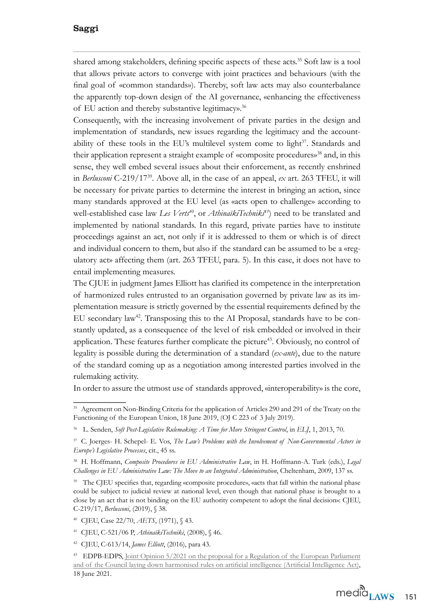shared among stakeholders, defining specific aspects of these acts.<sup>35</sup> Soft law is a tool that allows private actors to converge with joint practices and behaviours (with the final goal of «common standards»). Thereby, soft law acts may also counterbalance the apparently top-down design of the AI governance, «enhancing the effectiveness of EU action and thereby substantive legitimacy».<sup>36</sup>

Consequently, with the increasing involvement of private parties in the design and implementation of standards, new issues regarding the legitimacy and the accountability of these tools in the EU's multilevel system come to light<sup>37</sup>. Standards and their application represent a straight example of «composite procedures»<sup>38</sup> and, in this sense, they well embed several issues about their enforcement, as recently enshrined in *Berlusconi* C-219/17<sup>39</sup>. Above all, in the case of an appeal, *ex* art. 263 TFEU, it will be necessary for private parties to determine the interest in bringing an action, since many standards approved at the EU level (as «acts open to challenge» according to well-established case law *Les Verts<sup>40</sup>*, or *AthinaïkiTechniki<sup>41</sup>*) need to be translated and implemented by national standards. In this regard, private parties have to institute proceedings against an act, not only if it is addressed to them or which is of direct and individual concern to them, but also if the standard can be assumed to be a «regulatory act» affecting them (art. 263 TFEU, para. 5). In this case, it does not have to entail implementing measures.

The CJUE in judgment James Elliott has clarified its competence in the interpretation of harmonized rules entrusted to an organisation governed by private law as its implementation measure is strictly governed by the essential requirements defned by the EU secondary law<sup>42</sup>. Transposing this to the AI Proposal, standards have to be constantly updated, as a consequence of the level of risk embedded or involved in their application. These features further complicate the picture<sup>43</sup>. Obviously, no control of legality is possible during the determination of a standard (*ex-ante*), due to the nature of the standard coming up as a negotiation among interested parties involved in the rulemaking activity.

In order to assure the utmost use of standards approved, «interoperability» is the core,

<sup>&</sup>lt;sup>35</sup> Agreement on Non-Binding Criteria for the application of Articles 290 and 291 of the Treaty on the Functioning of the European Union, 18 June 2019, (OJ C 223 of 3 July 2019).

<sup>&</sup>lt;sup>36</sup> L. Senden, *Soft Post-Legislative Rulemaking: A Time for More Stringent Control*, in *ELJ*, 1, 2013, 70.

<sup>&</sup>lt;sup>37</sup> C. Joerges- H. Schepel- E. Vos, *The Law's Problems with the Involvement of Non-Governmental Actors in Europe's Legislative Processes*, cit., 45 ss.

<sup>&</sup>lt;sup>38</sup> H. Hoffmann, *Composite Procedures in EU Administrative Law*, in H. Hoffmann-A. Turk (eds.), *Legal Challenges in EU Administrative Law: The Move to an Integrated Administration*, Cheltenham, 2009, 137 ss.

<sup>&</sup>lt;sup>39</sup> The CJEU specifies that, regarding «composite procedure», «acts that fall within the national phase could be subject to judicial review at national level, even though that national phase is brought to a close by an act that is not binding on the EU authority competent to adopt the final decision»: CJEU, C-219/17, *Berlusconi*, (2019), § 38.

<sup>&</sup>lt;sup>40</sup> CJEU, Case 22/70, *AETS*, (1971), § 43.

<sup>&</sup>lt;sup>41</sup> CJEU, C-521/06 P, *AthinaïkiTechniki*, (2008), § 46.

<sup>&</sup>lt;sup>42</sup> CJEU, C-613/14, *James Elliott*, (2016), para 43.

<sup>&</sup>lt;sup>43</sup> EDPB-EDPS, Joint Opinion 5/2021 on the proposal for a Regulation of the European Parliament [and of the Council laying down harmonised rules on artifcial intelligence \(Artifcial Intelligence Act\)](https://edpb.europa.eu/our-work-tools/our-documents/edpbedps-joint-opinion/edpb-edps-joint-opinion-52021-proposal_en), 18 June 2021.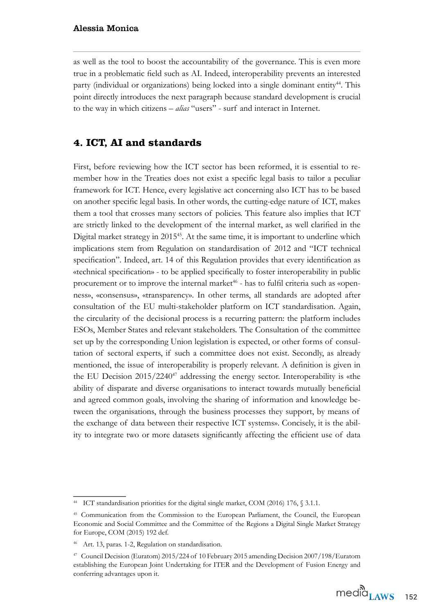as well as the tool to boost the accountability of the governance. 7his is even more true in a problematic feld such as AI. Indeed, interoperability prevents an interested party (individual or organizations) being locked into a single dominant entity<sup>44</sup>. This point directly introduces the next paragraph because standard development is crucial to the way in which citizens – *alias* "users" - surf and interact in Internet.

## **4. ICT, AI and standards**

First, before reviewing how the ICT sector has been reformed, it is essential to remember how in the Treaties does not exist a specific legal basis to tailor a peculiar framework for ICT. Hence, every legislative act concerning also ICT has to be based on another specifc legal basis. In other words, the cutting-edge nature of IC7, makes them a tool that crosses many sectors of policies. 7his feature also implies that IC7 are strictly linked to the development of the internal market, as well clarifed in the Digital market strategy in 2015<sup>45</sup>. At the same time, it is important to underline which implications stem from Regulation on standardisation of 2012 and "ICT technical specification". Indeed, art. 14 of this Regulation provides that every identification as ©technical specifcationª - to be applied specifcally to foster interoperability in public procurement or to improve the internal market<sup> $46$ </sup> - has to fulfil criteria such as «openness», «consensus», «transparency». In other terms, all standards are adopted after consultation of the EU multi-stakeholder platform on IC7 standardisation. Again, the circularity of the decisional process is a recurring pattern: the platform includes ESOs, Member States and relevant stakeholders. 7he Consultation of the committee set up by the corresponding Union legislation is expected, or other forms of consultation of sectoral experts, if such a committee does not exist. Secondly, as already mentioned, the issue of interoperability is properly relevant. A defnition is given in the EU Decision  $2015/2240^{47}$  addressing the energy sector. Interoperability is «the ability of disparate and diverse organisations to interact towards mutually benefcial and agreed common goals, involving the sharing of information and knowledge between the organisations, through the business processes they support, by means of the exchange of data between their respective ICT systems». Concisely, it is the ability to integrate two or more datasets signifcantly affecting the effcient use of data

<sup>&</sup>lt;sup>44</sup> ICT standardisation priorities for the digital single market, COM (2016) 176,  $$3.1.1$ .

<sup>&</sup>lt;sup>45</sup> Communication from the Commission to the European Parliament, the Council, the European Economic and Social Committee and the Committee of the Regions a Digital Single Market Strategy for Europe, COM (2015) 192 def.

Art. 13, paras. 1-2, Regulation on standardisation.

<sup>&</sup>lt;sup>47</sup> Council Decision (Euratom) 2015/224 of 10 February 2015 amending Decision 2007/198/Euratom establishing the European Joint Undertaking for ITER and the Development of Fusion Energy and conferring advantages upon it.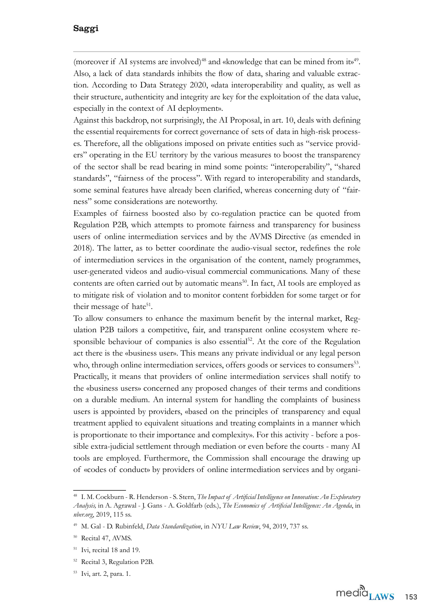(moreover if AI systems are involved)<sup>48</sup> and «knowledge that can be mined from it»<sup>49</sup>. Also, a lack of data standards inhibits the flow of data, sharing and valuable extraction. According to Data Strategy 2020, «data interoperability and quality, as well as their structure, authenticity and integrity are key for the exploitation of the data value, especially in the context of AI deployment».

Against this backdrop, not surprisingly, the AI Proposal, in art. 10, deals with defining the essential requirements for correct governance of sets of data in high-risk processes. Therefore, all the obligations imposed on private entities such as "service providers" operating in the EU territory by the various measures to boost the transparency of the sector shall be read bearing in mind some points: "interoperability", "shared standards", "fairness of the process". With regard to interoperability and standards, some seminal features have already been clarified, whereas concerning duty of "fairness" some considerations are noteworthy.

Examples of fairness boosted also by co-regulation practice can be quoted from Regulation P2B, which attempts to promote fairness and transparency for business users of online intermediation services and by the AVMS Directive (as emended in 21). 7he latter, as to better coordinate the audio-visual sector, redefnes the role of intermediation services in the organisation of the content, namely programmes, user-generated videos and audio-visual commercial communications. Many of these contents are often carried out by automatic means<sup>50</sup>. In fact, AI tools are employed as to mitigate risk of violation and to monitor content forbidden for some target or for their message of hat $e^{51}$ .

To allow consumers to enhance the maximum benefit by the internal market, Regulation P2B tailors a competitive, fair, and transparent online ecosystem where responsible behaviour of companies is also essential<sup>52</sup>. At the core of the Regulation act there is the «business user». This means any private individual or any legal person who, through online intermediation services, offers goods or services to consumers<sup>53</sup>. Practically, it means that providers of online intermediation services shall notify to the «business users» concerned any proposed changes of their terms and conditions on a durable medium. An internal system for handling the complaints of business users is appointed by providers, «based on the principles of transparency and equal treatment applied to equivalent situations and treating complaints in a manner which is proportionate to their importance and complexity». For this activity - before a possible extra-judicial settlement through mediation or even before the courts - many AI tools are employed. Furthermore, the Commission shall encourage the drawing up of «codes of conduct» by providers of online intermediation services and by organi-

<sup>&</sup>lt;sup>48</sup> I. M. Cockburn - R. Henderson - S. Stern, *The Impact of Artificial Intelligence on Innovation: An Exploratory Analysis*, in A. Agrawal - J. Gans - A. Goldfarb (eds.), *The Economics of Artificial Intelligence: An Agenda*, in *nber.org*, 2019, 115 ss.

<sup>&</sup>lt;sup>49</sup> M. Gal - D. Rubinfeld, *Data Standardization*, in *NYU Law Review*, 94, 2019, 737 ss.

<sup>&</sup>lt;sup>50</sup> Recital 47, AVMS.

 $1$ <sup>51</sup> Ivi, recital 18 and 19.

<sup>&</sup>lt;sup>52</sup> Recital 3, Regulation P2B.

<sup>&</sup>lt;sup>53</sup> Ivi, art. 2, para. 1.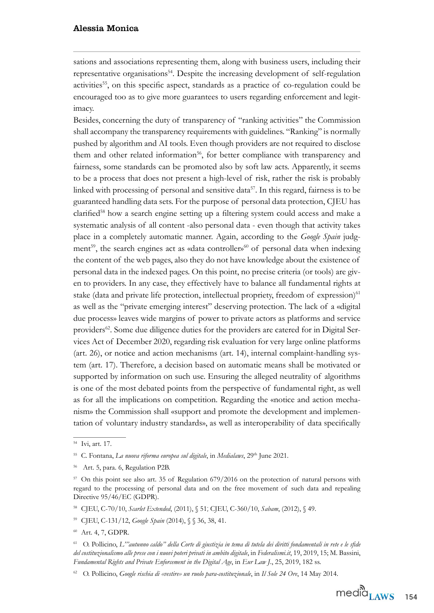sations and associations representing them, along with business users, including their representative organisations<sup>54</sup>. Despite the increasing development of self-regulation activities<sup>55</sup>, on this specific aspect, standards as a practice of co-regulation could be encouraged too as to give more guarantees to users regarding enforcement and legitimacy.

Besides, concerning the duty of transparency of "ranking activities" the Commission shall accompany the transparency requirements with guidelines. "Ranking" is normally pushed by algorithm and AI tools. Even though providers are not required to disclose them and other related information<sup>56</sup>, for better compliance with transparency and fairness, some standards can be promoted also by soft law acts. Apparently, it seems to be a process that does not present a high-level of risk, rather the risk is probably linked with processing of personal and sensitive data<sup>57</sup>. In this regard, fairness is to be guaranteed handling data sets. For the purpose of personal data protection, CJEU has clarified<sup>58</sup> how a search engine setting up a filtering system could access and make a systematic analysis of all content -also personal data - even though that activity takes place in a completely automatic manner. Again, according to the *Google Spain* judgment<sup>59</sup>, the search engines act as «data controller»<sup>60</sup> of personal data when indexing the content of the web pages, also they do not have knowledge about the existence of personal data in the indexed pages. On this point, no precise criteria (or tools) are given to providers. In any case, they effectively have to balance all fundamental rights at stake (data and private life protection, intellectual propriety, freedom of expression)<sup>61</sup> as well as the "private emerging interest" deserving protection. The lack of a «digital due process» leaves wide margins of power to private actors as platforms and service providers<sup>62</sup>. Some due diligence duties for the providers are catered for in Digital Services Act of December 2020, regarding risk evaluation for very large online platforms  $(art. 26)$ , or notice and action mechanisms  $(art. 14)$ , internal complaint-handling system (art. 17). Therefore, a decision based on automatic means shall be motivated or supported by information on such use. Ensuring the alleged neutrality of algorithms is one of the most debated points from the perspective of fundamental right, as well as for all the implications on competition. Regarding the «notice and action mechanism» the Commission shall «support and promote the development and implementation of voluntary industry standards», as well as interoperability of data specifically

<sup>&</sup>lt;sup>54</sup> Ivi, art. 17.

<sup>&</sup>lt;sup>55</sup> C. Fontana, *La nuova riforma europea sul digitale*, in *Medialaws*, 29<sup>th</sup> June 2021.

 $56$  Art. 5, para. 6, Regulation P2B.

 $57$  On this point see also art. 35 of Regulation 679/2016 on the protection of natural persons with regard to the processing of personal data and on the free movement of such data and repealing Directive 95/46/EC (GDPR).

<sup>&</sup>lt;sup>58</sup> CJEU, C-70/10, *Scarlet Extended*, (2011), § 51; CJEU, C-360/10, *Sabam*, (2012), § 49.

<sup>&</sup>lt;sup>59</sup> CJEU, C-131/12, *Google Spain* (2014), § § 36, 38, 41.

 $60$  Art. 4, 7, GDPR.

<sup>61</sup> O. Pollicino, *L'''autunno caldo'' della Corte di giustizia in tema di tutela dei diritti fondamentali in rete e le sfde del costituzionalismo alle prese con i nuovi poteri privati in ambito digitale*, in *Federalismi.it*, 19, 219, 1 M. Bassini, *Fundamental Rights and Private Enforcement in the Digital Age*, in *Eur Law J.*, 25, 2019, 182 ss.

<sup>&</sup>lt;sup>62</sup> O. Pollicino, *Google rischia di «vestire» un ruolo para-costituzionale*, in *Il Sole 24 Ore*, 14 May 2014.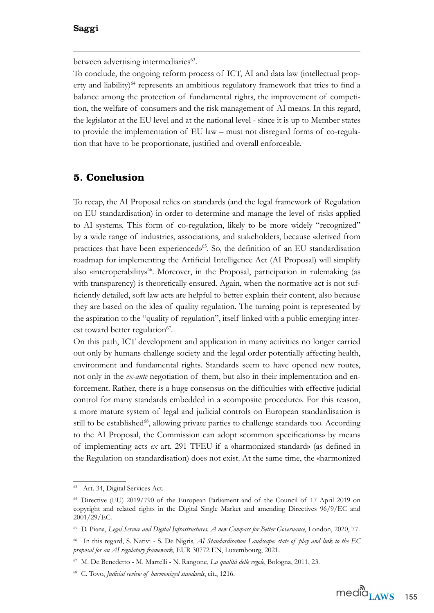between advertising intermediaries<sup>63</sup>.

7o conclude, the ongoing reform process of IC7, AI and data law (intellectual property and liability) $64$  represents an ambitious regulatory framework that tries to find a balance among the protection of fundamental rights, the improvement of competition, the welfare of consumers and the risk management of AI means. In this regard, the legislator at the EU level and at the national level - since it is up to Member states to provide the implementation of  $EU$  law  $-$  must not disregard forms of co-regulation that have to be proportionate, justified and overall enforceable.

## **5. Conclusion**

7o recap, the AI Proposal relies on standards (and the legal framework of Regulation on EU standardisation) in order to determine and manage the level of risks applied to AI systems. This form of co-regulation, likely to be more widely "recognized" by a wide range of industries, associations, and stakeholders, because «derived from practices that have been experienced»<sup>65</sup>. So, the definition of an EU standardisation roadmap for implementing the Artifcial Intelligence Act (AI Proposal) will simplify also «interoperability»<sup>66</sup>. Moreover, in the Proposal, participation in rulemaking (as with transparency) is theoretically ensured. Again, when the normative act is not sufficiently detailed, soft law acts are helpful to better explain their content, also because they are based on the idea of quality regulation. 7he turning point is represented by the aspiration to the "quality of regulation", itself linked with a public emerging interest toward better regulation<sup>67</sup>.

On this path, IC7 development and application in many activities no longer carried out only by humans challenge society and the legal order potentially affecting health, environment and fundamental rights. Standards seem to have opened new routes, not only in the *ex-ante* negotiation of them, but also in their implementation and enforcement. Rather, there is a huge consensus on the difficulties with effective judicial control for many standards embedded in a «composite procedure». For this reason, a more mature system of legal and judicial controls on European standardisation is still to be established<sup>68</sup>, allowing private parties to challenge standards too. According to the AI Proposal, the Commission can adopt «common specifications» by means of implementing acts *ex* art. 291 TFEU if a «harmonized standard» (as defined in the Regulation on standardisation) does not exist. At the same time, the «harmonized

Art. 34, Digital Services Act.

<sup>&</sup>lt;sup>64</sup> Directive (EU) 2019/790 of the European Parliament and of the Council of 17 April 2019 on copyright and related rights in the Digital Single Market and amending Directives 96/9/EC and 2001/29/EC.

<sup>&</sup>lt;sup>65</sup> D. Piana, *Legal Service and Digital Infrastructures. A new Compass for Better Governance*, London, 2020, 77.

<sup>&</sup>lt;sup>66</sup> In this regard, S. Nativi - S. De Nigris, *AI Standardisation Landscape: state of play and link to the EC proposal for an AI regulatory framework*, EUR 30772 EN, Luxembourg, 2021.

<sup>&</sup>lt;sup>67</sup> M. De Benedetto - M. Martelli - N. Rangone, *La qualità delle regole*, Bologna, 2011, 23.

<sup>&</sup>lt;sup>68</sup> C. Tovo, *Judicial review of harmonized standards*, cit., 1216.